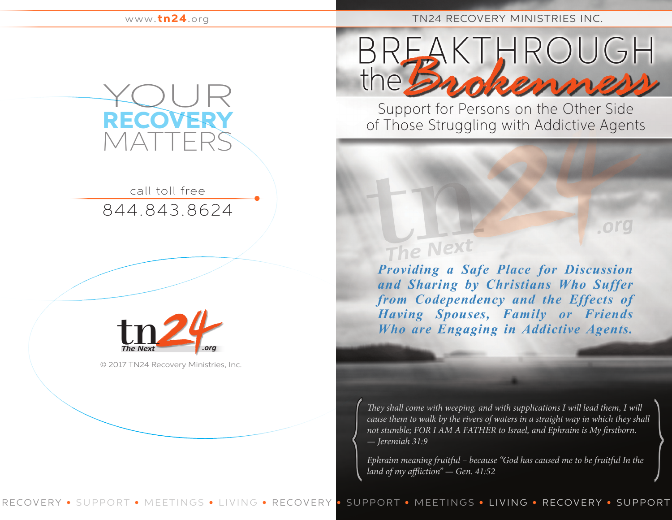www.tn24.org

## TN24 RECOVERY MINISTRIES INC.



844.843.8624 call toll free



© 2017 TN24 Recovery Ministries, Inc.

KTHROUGH

Support for Persons on the Other Side of Those Struggling with Addictive Agents

## The Next

**Providing a Safe Place for Discussion** and Sharing by Christians Who Suffer from Codependency and the Effects of Having Spouses, Family or Friends Who are Engaging in Addictive Agents.

org

*They shall come with weeping, and with supplications I will lead them, I will cause them to walk by the rivers of waters in a straight way in which they shall not stumble; FOR I AM A FATHER to Israel, and Ephraim is My firstborn. — Jeremiah 31:9*

*Ephraim meaning fruitful – because "God has caused me to be fruitful In the land of my affliction" — Gen. 41:52*